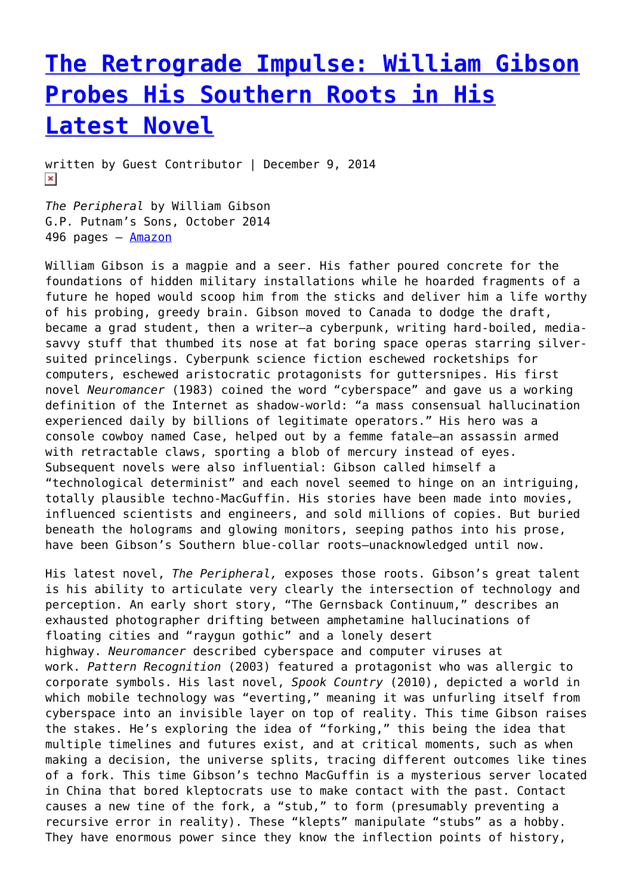## **[The Retrograde Impulse: William Gibson](https://entropymag.org/the-retrograde-impulse-william-gibson-probes-his-southern-roots-in-his-latest-novel/) [Probes His Southern Roots in His](https://entropymag.org/the-retrograde-impulse-william-gibson-probes-his-southern-roots-in-his-latest-novel/) [Latest Novel](https://entropymag.org/the-retrograde-impulse-william-gibson-probes-his-southern-roots-in-his-latest-novel/)**

written by Guest Contributor | December 9, 2014  $\pmb{\times}$ 

*The Peripheral* by William Gibson G.P. Putnam's Sons, October 2014 496 pages - [Amazon](http://www.amazon.com/The-Peripheral-William-Gibson/dp/0399158448)

William Gibson is a magpie and a seer. His father poured concrete for the foundations of hidden military installations while he hoarded fragments of a future he hoped would scoop him from the sticks and deliver him a life worthy of his probing, greedy brain. Gibson moved to Canada to dodge the draft, became a grad student, then a writer—a cyberpunk, writing hard-boiled, mediasavvy stuff that thumbed its nose at fat boring space operas starring silversuited princelings. Cyberpunk science fiction eschewed rocketships for computers, eschewed aristocratic protagonists for guttersnipes. His first novel *Neuromancer* (1983) coined the word "cyberspace" and gave us a working definition of the Internet as shadow-world: "a mass consensual hallucination experienced daily by billions of legitimate operators." His hero was a console cowboy named Case, helped out by a femme fatale—an assassin armed with retractable claws, sporting a blob of mercury instead of eyes. Subsequent novels were also influential: Gibson called himself a "technological determinist" and each novel seemed to hinge on an intriguing, totally plausible techno-MacGuffin. His stories have been made into movies, influenced scientists and engineers, and sold millions of copies. But buried beneath the holograms and glowing monitors, seeping pathos into his prose, have been Gibson's Southern blue-collar roots—unacknowledged until now.

His latest novel, *The Peripheral,* exposes those roots. Gibson's great talent is his ability to articulate very clearly the intersection of technology and perception. An early short story, "The Gernsback Continuum," describes an exhausted photographer drifting between amphetamine hallucinations of floating cities and "raygun gothic" and a lonely desert highway. *Neuromancer* described cyberspace and computer viruses at work. *Pattern Recognition* (2003) featured a protagonist who was allergic to corporate symbols. His last novel, *Spook Country* (2010), depicted a world in which mobile technology was "everting," meaning it was unfurling itself from cyberspace into an invisible layer on top of reality. This time Gibson raises the stakes. He's exploring the idea of "forking," this being the idea that multiple timelines and futures exist, and at critical moments, such as when making a decision, the universe splits, tracing different outcomes like tines of a fork. This time Gibson's techno MacGuffin is a mysterious server located in China that bored kleptocrats use to make contact with the past. Contact causes a new tine of the fork, a "stub," to form (presumably preventing a recursive error in reality). These "klepts" manipulate "stubs" as a hobby. They have enormous power since they know the inflection points of history,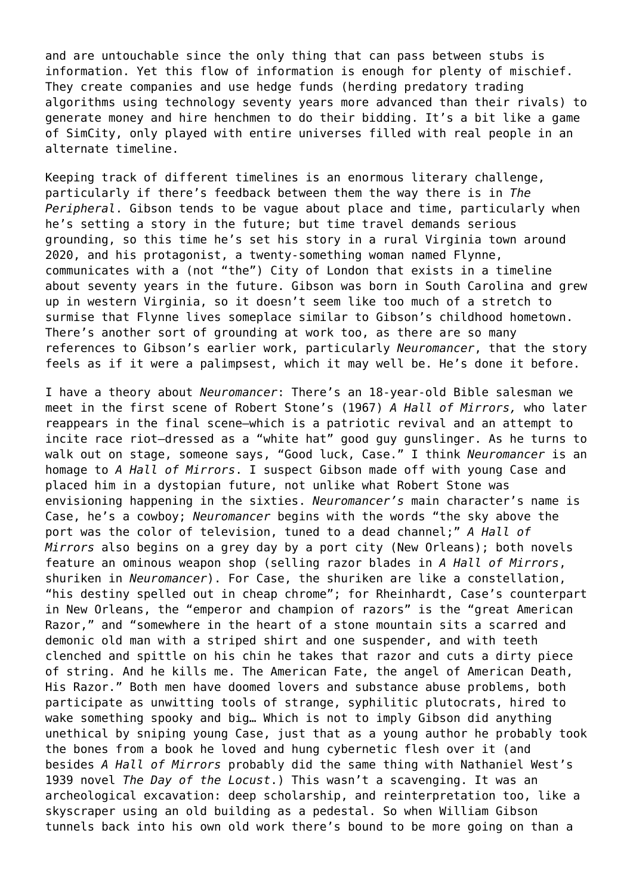and are untouchable since the only thing that can pass between stubs is information. Yet this flow of information is enough for plenty of mischief. They create companies and use hedge funds (herding predatory trading algorithms using technology seventy years more advanced than their rivals) to generate money and hire henchmen to do their bidding. It's a bit like a game of SimCity, only played with entire universes filled with real people in an alternate timeline.

Keeping track of different timelines is an enormous literary challenge, particularly if there's feedback between them the way there is in *The Peripheral*. Gibson tends to be vague about place and time, particularly when he's setting a story in the future; but time travel demands serious grounding, so this time he's set his story in a rural Virginia town around 2020, and his protagonist, a twenty-something woman named Flynne, communicates with a (not "the") City of London that exists in a timeline about seventy years in the future. Gibson was born in South Carolina and grew up in western Virginia, so it doesn't seem like too much of a stretch to surmise that Flynne lives someplace similar to Gibson's childhood hometown. There's another sort of grounding at work too, as there are so many references to Gibson's earlier work, particularly *Neuromancer*, that the story feels as if it were a palimpsest, which it may well be. He's done it before.

I have a theory about *Neuromancer*: There's an 18-year-old Bible salesman we meet in the first scene of Robert Stone's (1967) *A Hall of Mirrors,* who later reappears in the final scene—which is a patriotic revival and an attempt to incite race riot—dressed as a "white hat" good guy gunslinger. As he turns to walk out on stage, someone says, "Good luck, Case." I think *Neuromancer* is an homage to *A Hall of Mirrors*. I suspect Gibson made off with young Case and placed him in a dystopian future, not unlike what Robert Stone was envisioning happening in the sixties. *Neuromancer's* main character's name is Case, he's a cowboy; *Neuromancer* begins with the words "the sky above the port was the color of television, tuned to a dead channel;" *A Hall of Mirrors* also begins on a grey day by a port city (New Orleans); both novels feature an ominous weapon shop (selling razor blades in *A Hall of Mirrors*, shuriken in *Neuromancer*). For Case, the shuriken are like a constellation, "his destiny spelled out in cheap chrome"; for Rheinhardt, Case's counterpart in New Orleans, the "emperor and champion of razors" is the "great American Razor," and "somewhere in the heart of a stone mountain sits a scarred and demonic old man with a striped shirt and one suspender, and with teeth clenched and spittle on his chin he takes that razor and cuts a dirty piece of string. And he kills me. The American Fate, the angel of American Death, His Razor." Both men have doomed lovers and substance abuse problems, both participate as unwitting tools of strange, syphilitic plutocrats, hired to wake something spooky and big… Which is not to imply Gibson did anything unethical by sniping young Case, just that as a young author he probably took the bones from a book he loved and hung cybernetic flesh over it (and besides *A Hall of Mirrors* probably did the same thing with Nathaniel West's 1939 novel *The Day of the Locust*.) This wasn't a scavenging. It was an archeological excavation: deep scholarship, and reinterpretation too, like a skyscraper using an old building as a pedestal. So when William Gibson tunnels back into his own old work there's bound to be more going on than a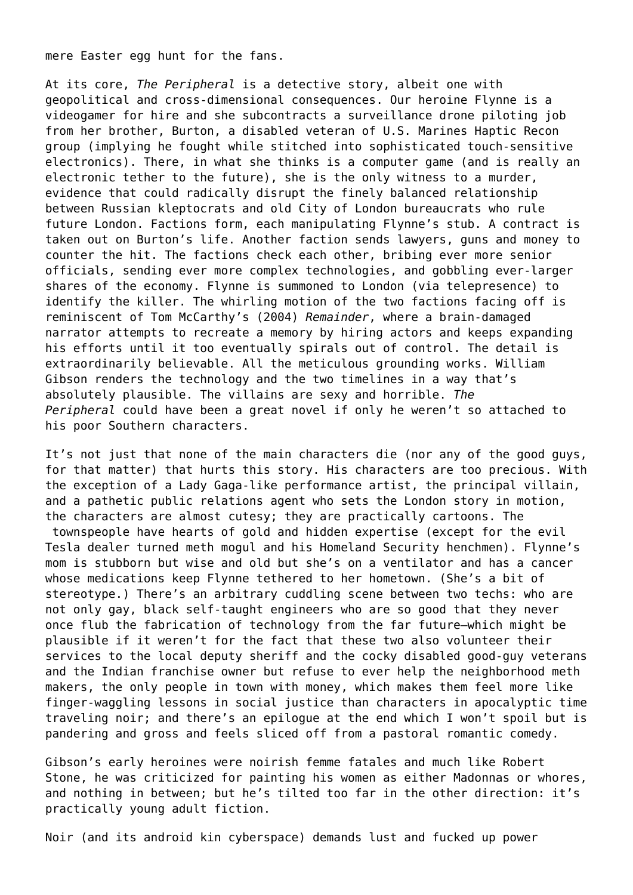mere Easter egg hunt for the fans.

At its core, *The Peripheral* is a detective story, albeit one with geopolitical and cross-dimensional consequences. Our heroine Flynne is a videogamer for hire and she subcontracts a surveillance drone piloting job from her brother, Burton, a disabled veteran of U.S. Marines Haptic Recon group (implying he fought while stitched into sophisticated touch-sensitive electronics). There, in what she thinks is a computer game (and is really an electronic tether to the future), she is the only witness to a murder, evidence that could radically disrupt the finely balanced relationship between Russian kleptocrats and old City of London bureaucrats who rule future London. Factions form, each manipulating Flynne's stub. A contract is taken out on Burton's life. Another faction sends lawyers, guns and money to counter the hit. The factions check each other, bribing ever more senior officials, sending ever more complex technologies, and gobbling ever-larger shares of the economy. Flynne is summoned to London (via telepresence) to identify the killer. The whirling motion of the two factions facing off is reminiscent of Tom McCarthy's (2004) *Remainder*, where a brain-damaged narrator attempts to recreate a memory by hiring actors and keeps expanding his efforts until it too eventually spirals out of control. The detail is extraordinarily believable. All the meticulous grounding works. William Gibson renders the technology and the two timelines in a way that's absolutely plausible. The villains are sexy and horrible. *The Peripheral* could have been a great novel if only he weren't so attached to his poor Southern characters.

It's not just that none of the main characters die (nor any of the good guys, for that matter) that hurts this story. His characters are too precious. With the exception of a Lady Gaga-like performance artist, the principal villain, and a pathetic public relations agent who sets the London story in motion, the characters are almost cutesy; they are practically cartoons. The

 townspeople have hearts of gold and hidden expertise (except for the evil Tesla dealer turned meth mogul and his Homeland Security henchmen). Flynne's mom is stubborn but wise and old but she's on a ventilator and has a cancer whose medications keep Flynne tethered to her hometown. (She's a bit of stereotype.) There's an arbitrary cuddling scene between two techs: who are not only gay, black self-taught engineers who are so good that they never once flub the fabrication of technology from the far future—which might be plausible if it weren't for the fact that these two also volunteer their services to the local deputy sheriff and the cocky disabled good-guy veterans and the Indian franchise owner but refuse to ever help the neighborhood meth makers, the only people in town with money, which makes them feel more like finger-waggling lessons in social justice than characters in apocalyptic time traveling noir; and there's an epilogue at the end which I won't spoil but is pandering and gross and feels sliced off from a pastoral romantic comedy.

Gibson's early heroines were noirish femme fatales and much like Robert Stone, he was criticized for painting his women as either Madonnas or whores, and nothing in between; but he's tilted too far in the other direction: it's practically young adult fiction.

Noir (and its android kin cyberspace) demands lust and fucked up power